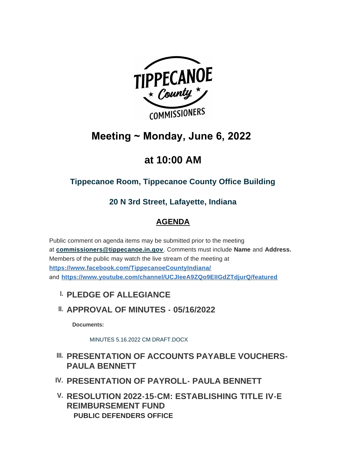

# **Meeting ~ Monday, June 6, 2022**

# **at 10:00 AM**

## **Tippecanoe Room, Tippecanoe County Office Building**

## **20 N 3rd Street, Lafayette, Indiana**

## **AGENDA**

Public comment on agenda items may be submitted prior to the meeting at **[commissioners@tippecanoe.in.gov](mailto:commissioners@tippecanoe.in.gov)**. Comments must include **Name** and **Address.** [Members of the public may watch the live stream of the mee](https://www.facebook.com/TippecanoeCountyIndiana/)ting at **https://www.facebook.com/TippecanoeCountyIndiana/** and **<https://www.youtube.com/channel/UCJIeeA9ZQo9EIIGdZTdjurQ/featured>**

- **PLEDGE OF ALLEGIANCE I.**
- **APPROVAL OF MINUTES 05/16/2022 II.**

**Documents:**

[MINUTES 5.16.2022 CM DRAFT.DOCX](http://www.tippecanoe.in.gov/AgendaCenter/ViewFile/Item/12734?fileID=25521)

## **III. PRESENTATION OF ACCOUNTS PAYABLE VOUCHERS-PAULA BENNETT**

- **PRESENTATION OF PAYROLL- PAULA BENNETT IV.**
- **RESOLUTION 2022-15-CM: ESTABLISHING TITLE IV-E V. REIMBURSEMENT FUND PUBLIC DEFENDERS OFFICE**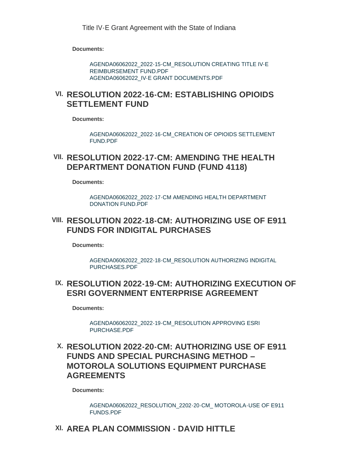**Documents:**

[AGENDA06062022\\_2022-15-CM\\_RESOLUTION CREATING TITLE IV-E](http://www.tippecanoe.in.gov/AgendaCenter/ViewFile/Item/12740?fileID=25550)  REIMBURSEMENT FUND.PDF [AGENDA06062022\\_IV-E GRANT DOCUMENTS.PDF](http://www.tippecanoe.in.gov/AgendaCenter/ViewFile/Item/12740?fileID=25551)

### **RESOLUTION 2022-16-CM: ESTABLISHING OPIOIDS VI. SETTLEMENT FUND**

**Documents:**

[AGENDA06062022\\_2022-16-CM\\_CREATION OF OPIOIDS SETTLEMENT](http://www.tippecanoe.in.gov/AgendaCenter/ViewFile/Item/12741?fileID=25552)  FUND.PDF

#### **RESOLUTION 2022-17-CM: AMENDING THE HEALTH VII. DEPARTMENT DONATION FUND (FUND 4118)**

**Documents:**

[AGENDA06062022\\_2022-17-CM AMENDING HEALTH DEPARTMENT](http://www.tippecanoe.in.gov/AgendaCenter/ViewFile/Item/12743?fileID=25553)  DONATION FUND.PDF

### **RESOLUTION 2022-18-CM: AUTHORIZING USE OF E911 VIII. FUNDS FOR INDIGITAL PURCHASES**

**Documents:**

[AGENDA06062022\\_2022-18-CM\\_RESOLUTION AUTHORIZING INDIGITAL](http://www.tippecanoe.in.gov/AgendaCenter/ViewFile/Item/12754?fileID=25574)  PURCHASES.PDF

### **RESOLUTION 2022-19-CM: AUTHORIZING EXECUTION OF IX. ESRI GOVERNMENT ENTERPRISE AGREEMENT**

**Documents:**

[AGENDA06062022\\_2022-19-CM\\_RESOLUTION APPROVING ESRI](http://www.tippecanoe.in.gov/AgendaCenter/ViewFile/Item/12755?fileID=25572)  PURCHASE.PDF

### **RESOLUTION 2022-20-CM: AUTHORIZING USE OF E911 X. FUNDS AND SPECIAL PURCHASING METHOD – MOTOROLA SOLUTIONS EQUIPMENT PURCHASE AGREEMENTS**

**Documents:**

[AGENDA06062022\\_RESOLUTION\\_2202-20-CM\\_ MOTOROLA-USE OF E911](http://www.tippecanoe.in.gov/AgendaCenter/ViewFile/Item/12759?fileID=25573)  FUNDS.PDF

## **AREA PLAN COMMISSION - DAVID HITTLE XI.**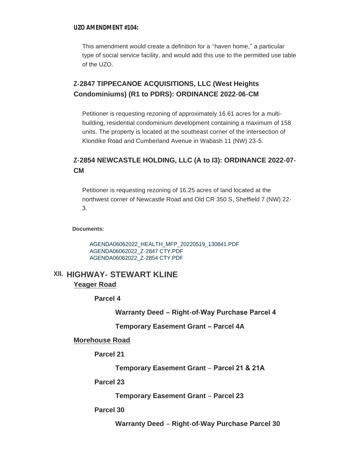#### **UZO AMENDMENT #104:**

This amendment would create a definition for a "haven home," a particular type of social service facility, and would add this use to the permitted use table of the UZO.

#### **Z-2847 TIPPECANOE ACQUISITIONS, LLC (West Heights Condominiums) (R1 to PDRS): ORDINANCE 2022-06-CM**

Petitioner is requesting rezoning of approximately 16.61 acres for a multibuilding, residential condominium development containing a maximum of 158 units. The property is located at the southeast corner of the intersection of Klondike Road and Cumberland Avenue in Wabash 11 (NW) 23-5.

#### **Z-2854 NEWCASTLE HOLDING, LLC (A to I3): ORDINANCE 2022-07- CM**

Petitioner is requesting rezoning of 16.25 acres of land located at the northwest corner of Newcastle Road and Old CR 350 S, Sheffield 7 (NW) 22- 3.

**Documents:**

[AGENDA06062022\\_HEALTH\\_MFP\\_20220519\\_130841.PDF](http://www.tippecanoe.in.gov/AgendaCenter/ViewFile/Item/12737?fileID=25536) [AGENDA06062022\\_Z-2847 CTY.PDF](http://www.tippecanoe.in.gov/AgendaCenter/ViewFile/Item/12737?fileID=25537) [AGENDA06062022\\_Z-2854 CTY.PDF](http://www.tippecanoe.in.gov/AgendaCenter/ViewFile/Item/12737?fileID=25538)

#### **HIGHWAY- STEWART KLINE XII. Yeager Road**

**Parcel 4**

**Warranty Deed – Right-of-Way Purchase Parcel 4** 

**Temporary Easement Grant – Parcel 4A**

#### **Morehouse Road**

**Parcel 21**

**Temporary Easement Grant** – **Parcel 21 & 21A** 

#### **Parcel 23**

**Temporary Easement Grant** – **Parcel 23**

#### **Parcel 30**

**Warranty Deed** – **Right-of-Way Purchase Parcel 30**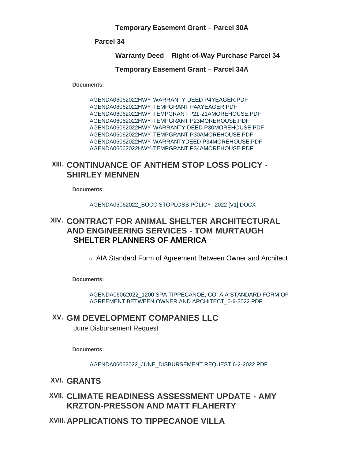**Temporary Easement Grant** – **Parcel 30A**

**Parcel 34**

**Warranty Deed** – **Right-of-Way Purchase Parcel 34** 

**Temporary Easement Grant** – **Parcel 34A**

**Documents:**

[AGENDA06062022HWY-WARRANTY DEED P4YEAGER.PDF](http://www.tippecanoe.in.gov/AgendaCenter/ViewFile/Item/12738?fileID=25539) [AGENDA06062022HWY-TEMPGRANT P4AYEAGER.PDF](http://www.tippecanoe.in.gov/AgendaCenter/ViewFile/Item/12738?fileID=25540) [AGENDA06062022HWY-TEMPGRANT P21-21AMOREHOUSE.PDF](http://www.tippecanoe.in.gov/AgendaCenter/ViewFile/Item/12738?fileID=25541) [AGENDA06062022HWY-TEMPGRANT P23MOREHOUSE.PDF](http://www.tippecanoe.in.gov/AgendaCenter/ViewFile/Item/12738?fileID=25542) [AGENDA06062022HWY-WARRANTY DEED P30MOREHOUSE.PDF](http://www.tippecanoe.in.gov/AgendaCenter/ViewFile/Item/12738?fileID=25543) [AGENDA06062022HWY-TEMPGRANT P30AMOREHOUSE.PDF](http://www.tippecanoe.in.gov/AgendaCenter/ViewFile/Item/12738?fileID=25544) [AGENDA06062022HWY-WARRANTYDEED P34MOREHOUSE.PDF](http://www.tippecanoe.in.gov/AgendaCenter/ViewFile/Item/12738?fileID=25545) [AGENDA06062022HWY-TEMPGRANT P34AMOREHOUSE.PDF](http://www.tippecanoe.in.gov/AgendaCenter/ViewFile/Item/12738?fileID=25546)

### **CONTINUANCE OF ANTHEM STOP LOSS POLICY - XIII. SHIRLEY MENNEN**

**Documents:**

[AGENDA06062022\\_BOCC STOPLOSS POLICY- 2022 \[V1\].DOCX](http://www.tippecanoe.in.gov/AgendaCenter/ViewFile/Item/12753?fileID=25563)

### **CONTRACT FOR ANIMAL SHELTER ARCHITECTURAL XIV. AND ENGINEERING SERVICES - TOM MURTAUGH SHELTER PLANNERS OF AMERICA**

o AIA Standard Form of Agreement Between Owner and Architect

**Documents:**

[AGENDA06062022\\_1200 SPA TIPPECANOE, CO. AIA STANDARD FORM OF](http://www.tippecanoe.in.gov/AgendaCenter/ViewFile/Item/12745?fileID=25570)  AGREEMENT BETWEEN OWNER AND ARCHITECT\_6-6-2022.PDF

### **GM DEVELOPMENT COMPANIES LLC XV.**

June Disbursement Request

**Documents:**

[AGENDA06062022\\_JUNE\\_DISBURSEMENT REQUEST 6-2-2022.PDF](http://www.tippecanoe.in.gov/AgendaCenter/ViewFile/Item/12757?fileID=25569)

- **GRANTS XVI.**
- **CLIMATE READINESS ASSESSMENT UPDATE AMY XVII. KRZTON-PRESSON AND MATT FLAHERTY**
- **APPLICATIONS TO TIPPECANOE VILLA XVIII.**